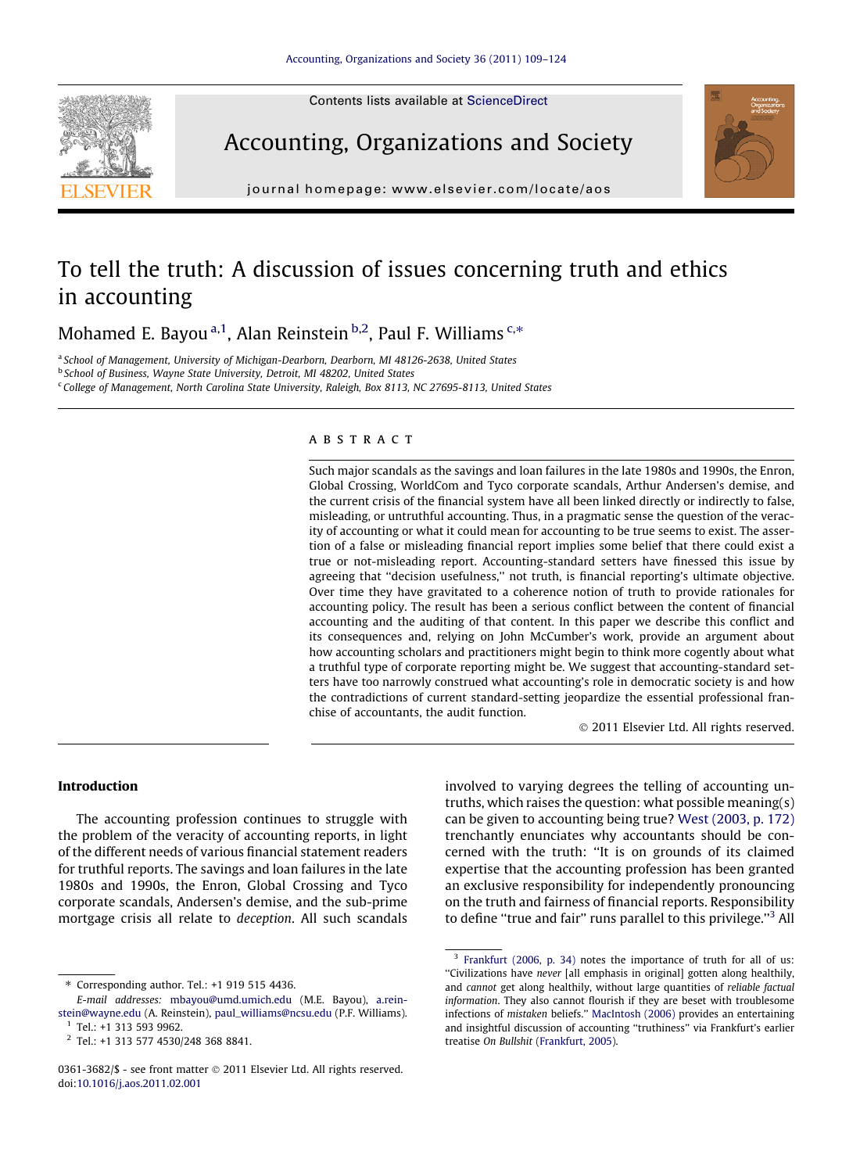

Contents lists available at [ScienceDirect](http://www.sciencedirect.com/science/journal/03613682)

Accounting, Organizations and Society



journal homepage: [www.elsevier.com/locate/aos](http://www.elsevier.com/locate/aos)

## To tell the truth: A discussion of issues concerning truth and ethics in accounting

Mohamed E. Bayou <sup>a, 1</sup>, Alan Reinstein <sup>b,2</sup>, Paul F. Williams <sup>c,\*</sup>

<sup>a</sup> School of Management, University of Michigan-Dearborn, Dearborn, MI 48126-2638, United States

**b School of Business, Wayne State University, Detroit, MI 48202, United States** 

<sup>c</sup> College of Management, North Carolina State University, Raleigh, Box 8113, NC 27695-8113, United States

### **ABSTRACT**

Such major scandals as the savings and loan failures in the late 1980s and 1990s, the Enron, Global Crossing, WorldCom and Tyco corporate scandals, Arthur Andersen's demise, and the current crisis of the financial system have all been linked directly or indirectly to false, misleading, or untruthful accounting. Thus, in a pragmatic sense the question of the veracity of accounting or what it could mean for accounting to be true seems to exist. The assertion of a false or misleading financial report implies some belief that there could exist a true or not-misleading report. Accounting-standard setters have finessed this issue by agreeing that ''decision usefulness,'' not truth, is financial reporting's ultimate objective. Over time they have gravitated to a coherence notion of truth to provide rationales for accounting policy. The result has been a serious conflict between the content of financial accounting and the auditing of that content. In this paper we describe this conflict and its consequences and, relying on John McCumber's work, provide an argument about how accounting scholars and practitioners might begin to think more cogently about what a truthful type of corporate reporting might be. We suggest that accounting-standard setters have too narrowly construed what accounting's role in democratic society is and how the contradictions of current standard-setting jeopardize the essential professional franchise of accountants, the audit function.

- 2011 Elsevier Ltd. All rights reserved.

#### Introduction

The accounting profession continues to struggle with the problem of the veracity of accounting reports, in light of the different needs of various financial statement readers for truthful reports. The savings and loan failures in the late 1980s and 1990s, the Enron, Global Crossing and Tyco corporate scandals, Andersen's demise, and the sub-prime mortgage crisis all relate to deception. All such scandals involved to varying degrees the telling of accounting untruths, which raises the question: what possible meaning(s) can be given to accounting being true? [West \(2003, p. 172\)](#page--1-0) trenchantly enunciates why accountants should be concerned with the truth: ''It is on grounds of its claimed expertise that the accounting profession has been granted an exclusive responsibility for independently pronouncing on the truth and fairness of financial reports. Responsibility to define ''true and fair'' runs parallel to this privilege.''<sup>3</sup> All

<sup>⇑</sup> Corresponding author. Tel.: +1 919 515 4436.

E-mail addresses: [mbayou@umd.umich.edu](mailto:mbayou@umd.umich.edu) (M.E. Bayou), [a.rein](mailto:a.reinstein@wayne.edu)[stein@wayne.edu](mailto:a.reinstein@wayne.edu) (A. Reinstein), [paul\\_williams@ncsu.edu](mailto:paul_williams@ncsu.edu) (P.F. Williams).

<sup>1</sup> Tel.: +1 313 593 9962.

<sup>2</sup> Tel.: +1 313 577 4530/248 368 8841.

<sup>0361-3682/\$ -</sup> see front matter © 2011 Elsevier Ltd. All rights reserved. doi:[10.1016/j.aos.2011.02.001](http://dx.doi.org/10.1016/j.aos.2011.02.001)

<sup>&</sup>lt;sup>3</sup> [Frankfurt \(2006, p. 34\)](#page--1-0) notes the importance of truth for all of us: ''Civilizations have never [all emphasis in original] gotten along healthily, and cannot get along healthily, without large quantities of reliable factual information. They also cannot flourish if they are beset with troublesome infections of mistaken beliefs.'' [MacIntosh \(2006\)](#page--1-0) provides an entertaining and insightful discussion of accounting ''truthiness'' via Frankfurt's earlier treatise On Bullshit ([Frankfurt, 2005\)](#page--1-0).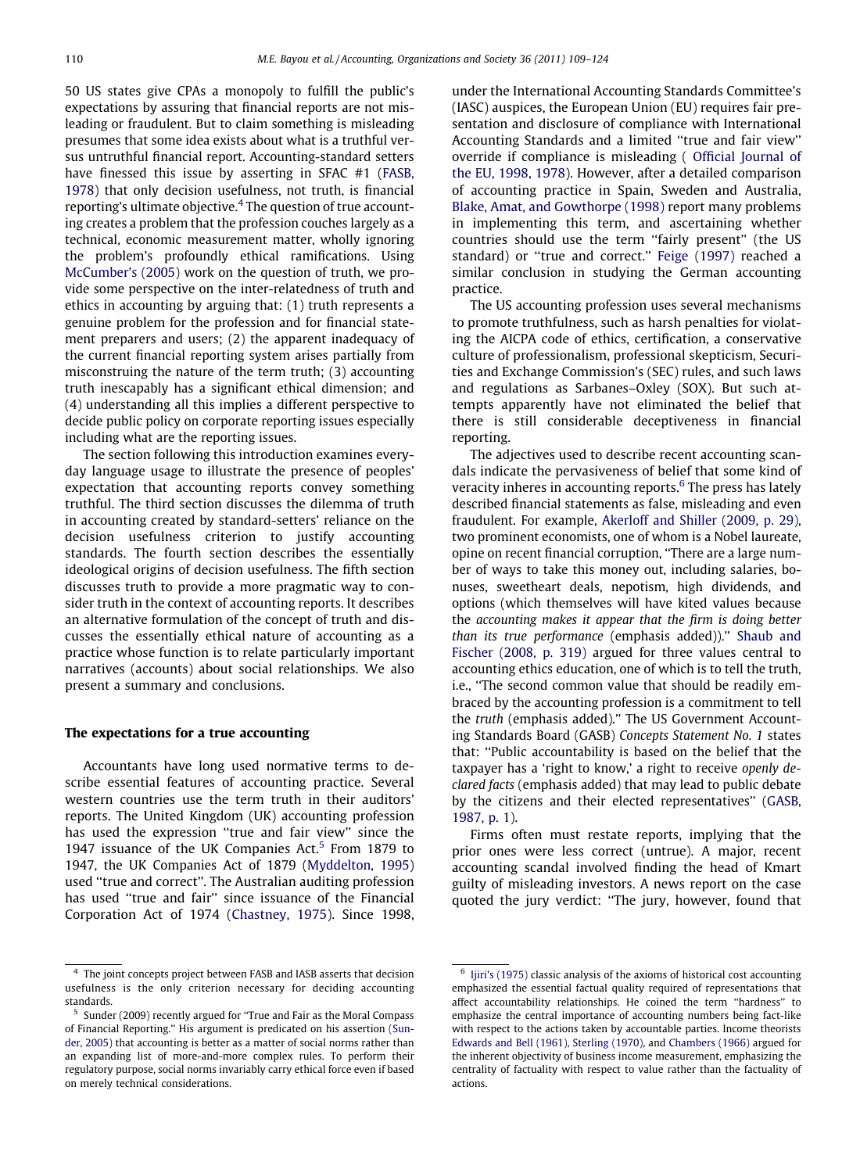50 US states give CPAs a monopoly to fulfill the public's expectations by assuring that financial reports are not misleading or fraudulent. But to claim something is misleading presumes that some idea exists about what is a truthful versus untruthful financial report. Accounting-standard setters have finessed this issue by asserting in SFAC #1 [\(FASB,](#page--1-0) [1978\)](#page--1-0) that only decision usefulness, not truth, is financial reporting's ultimate objective. $4$  The question of true accounting creates a problem that the profession couches largely as a technical, economic measurement matter, wholly ignoring the problem's profoundly ethical ramifications. Using [McCumber's \(2005\)](#page--1-0) work on the question of truth, we provide some perspective on the inter-relatedness of truth and ethics in accounting by arguing that: (1) truth represents a genuine problem for the profession and for financial statement preparers and users; (2) the apparent inadequacy of the current financial reporting system arises partially from misconstruing the nature of the term truth; (3) accounting truth inescapably has a significant ethical dimension; and (4) understanding all this implies a different perspective to decide public policy on corporate reporting issues especially including what are the reporting issues.

The section following this introduction examines everyday language usage to illustrate the presence of peoples' expectation that accounting reports convey something truthful. The third section discusses the dilemma of truth in accounting created by standard-setters' reliance on the decision usefulness criterion to justify accounting standards. The fourth section describes the essentially ideological origins of decision usefulness. The fifth section discusses truth to provide a more pragmatic way to consider truth in the context of accounting reports. It describes an alternative formulation of the concept of truth and discusses the essentially ethical nature of accounting as a practice whose function is to relate particularly important narratives (accounts) about social relationships. We also present a summary and conclusions.

#### The expectations for a true accounting

Accountants have long used normative terms to describe essential features of accounting practice. Several western countries use the term truth in their auditors' reports. The United Kingdom (UK) accounting profession has used the expression "true and fair view" since the 1947 issuance of the UK Companies Act.<sup>5</sup> From 1879 to 1947, the UK Companies Act of 1879 ([Myddelton, 1995](#page--1-0)) used ''true and correct''. The Australian auditing profession has used ''true and fair'' since issuance of the Financial Corporation Act of 1974 ([Chastney, 1975](#page--1-0)). Since 1998, under the International Accounting Standards Committee's (IASC) auspices, the European Union (EU) requires fair presentation and disclosure of compliance with International Accounting Standards and a limited ''true and fair view'' override if compliance is misleading ( [Official Journal of](#page--1-0) [the EU, 1998, 1978](#page--1-0)). However, after a detailed comparison of accounting practice in Spain, Sweden and Australia, [Blake, Amat, and Gowthorpe \(1998\)](#page--1-0) report many problems in implementing this term, and ascertaining whether countries should use the term ''fairly present'' (the US standard) or ''true and correct.'' [Feige \(1997\)](#page--1-0) reached a similar conclusion in studying the German accounting practice.

The US accounting profession uses several mechanisms to promote truthfulness, such as harsh penalties for violating the AICPA code of ethics, certification, a conservative culture of professionalism, professional skepticism, Securities and Exchange Commission's (SEC) rules, and such laws and regulations as Sarbanes–Oxley (SOX). But such attempts apparently have not eliminated the belief that there is still considerable deceptiveness in financial reporting.

The adjectives used to describe recent accounting scandals indicate the pervasiveness of belief that some kind of veracity inheres in accounting reports.<sup>6</sup> The press has lately described financial statements as false, misleading and even fraudulent. For example, [Akerloff and Shiller \(2009, p. 29\),](#page--1-0) two prominent economists, one of whom is a Nobel laureate, opine on recent financial corruption, ''There are a large number of ways to take this money out, including salaries, bonuses, sweetheart deals, nepotism, high dividends, and options (which themselves will have kited values because the accounting makes it appear that the firm is doing better than its true performance (emphasis added)).'' [Shaub and](#page--1-0) [Fischer \(2008, p. 319\)](#page--1-0) argued for three values central to accounting ethics education, one of which is to tell the truth, i.e., ''The second common value that should be readily embraced by the accounting profession is a commitment to tell the truth (emphasis added)." The US Government Accounting Standards Board (GASB) Concepts Statement No. 1 states that: ''Public accountability is based on the belief that the taxpayer has a 'right to know,' a right to receive openly declared facts (emphasis added) that may lead to public debate by the citizens and their elected representatives'' ([GASB,](#page--1-0) [1987, p. 1](#page--1-0)).

Firms often must restate reports, implying that the prior ones were less correct (untrue). A major, recent accounting scandal involved finding the head of Kmart guilty of misleading investors. A news report on the case quoted the jury verdict: ''The jury, however, found that

<sup>4</sup> The joint concepts project between FASB and IASB asserts that decision usefulness is the only criterion necessary for deciding accounting standards.

<sup>5</sup> Sunder (2009) recently argued for ''True and Fair as the Moral Compass of Financial Reporting.'' His argument is predicated on his assertion ([Sun](#page--1-0)[der, 2005\)](#page--1-0) that accounting is better as a matter of social norms rather than an expanding list of more-and-more complex rules. To perform their regulatory purpose, social norms invariably carry ethical force even if based on merely technical considerations.

<sup>6</sup> [Ijiri's \(1975\)](#page--1-0) classic analysis of the axioms of historical cost accounting emphasized the essential factual quality required of representations that affect accountability relationships. He coined the term ''hardness'' to emphasize the central importance of accounting numbers being fact-like with respect to the actions taken by accountable parties. Income theorists [Edwards and Bell \(1961\), Sterling \(1970\)](#page--1-0), and [Chambers \(1966\)](#page--1-0) argued for the inherent objectivity of business income measurement, emphasizing the centrality of factuality with respect to value rather than the factuality of actions.